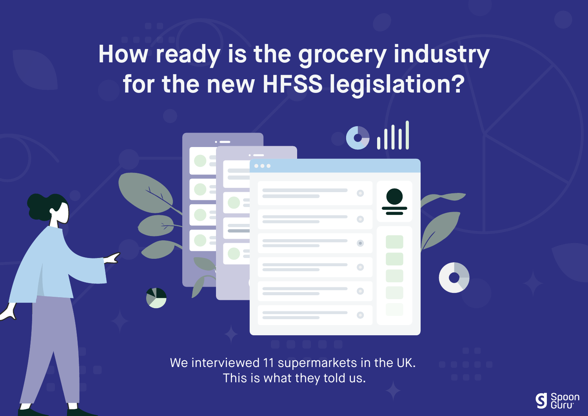### **How ready is the grocery industry for the new HFSS legislation?**

 $\mathbf{G}$   $\mathbf{||}$ 

 $\bigcirc$ 

 $\bigcirc$ 

We interviewed 11 supermarkets in the UK. This is what they told us.

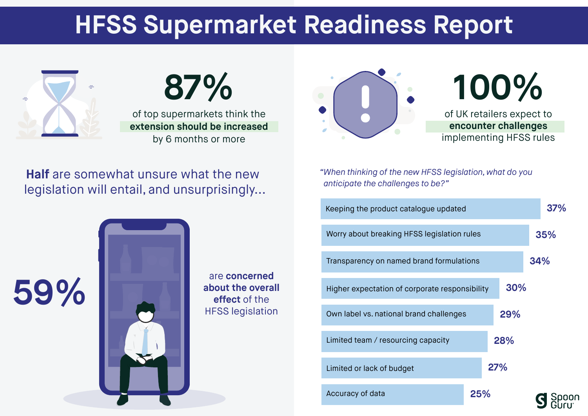# **HFSS Supermarket Readiness Report**





by 6 months or more

**Half** are somewhat unsure what the new legislation will entail, and unsurprisingly...



are **concerned about the overall**  HFSS legislation



# **100%**

of UK retailers expect to **encounter challenges**  implementing HFSS rules

*"When thinking of the new HFSS legislation, what do you anticipate the challenges to be?"*

| Keeping the product catalogue updated                 | 37% |
|-------------------------------------------------------|-----|
| Worry about breaking HFSS legislation rules           | 35% |
| Transparency on named brand formulations              | 34% |
| 30%<br>Higher expectation of corporate responsibility |     |
| 29%<br>Own label vs. national brand challenges        |     |
| 28%<br>Limited team / resourcing capacity             |     |
| 27%<br>Limited or lack of budget                      |     |
| 25%<br>Accuracy of data                               |     |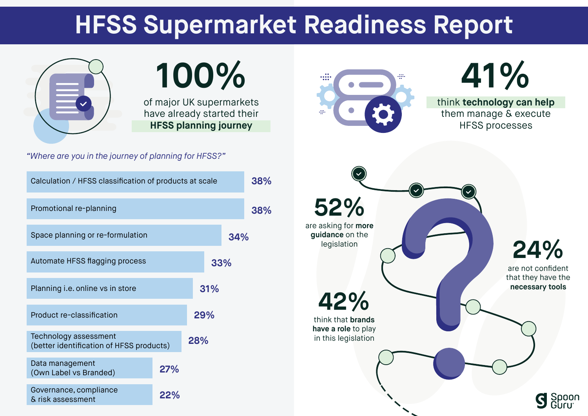# **HFSS Supermarket Readiness Report**



#### of major UK supermarkets **100%**

have already started their **HFSS planning journey** 

#### *"Where are you in the journey of planning for HFSS?"*

| Calculation / HFSS classification of products at scale                   |     |     | 38% |     |
|--------------------------------------------------------------------------|-----|-----|-----|-----|
| Promotional re-planning                                                  |     |     |     | 38% |
| Space planning or re-formulation                                         |     | 34% |     |     |
| Automate HFSS flagging process                                           |     | 33% |     |     |
| Planning i.e. online vs in store                                         |     | 31% |     |     |
| 29%<br>Product re-classification                                         |     |     |     |     |
| Technology assessment<br>28%<br>(better identification of HFSS products) |     |     |     |     |
| Data management<br>(Own Label vs Branded)                                | 27% |     |     |     |
| Governance, compliance<br>& risk assessment                              | 22% |     |     |     |



# **41%**

think **technology can help** them manage & execute HFSS processes

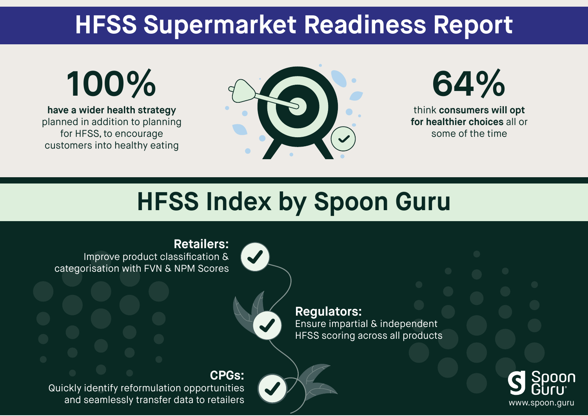### **HFSS Supermarket Readiness Report**

# **100%**

**have a wider health strategy**  planned in addition to planning for HFSS, to encourage customers into healthy eating





think **consumers will opt for healthier choices** all or some of the time

# **HFSS Index by Spoon Guru**

**Retailers:** Improve product classification & categorisation with FVN & NPM Scores

**Regulators:** 

Ensure impartial & independent HFSS scoring across all products

 **CPGs:** Quickly identify reformulation opportunities and seamlessly transfer data to retailers